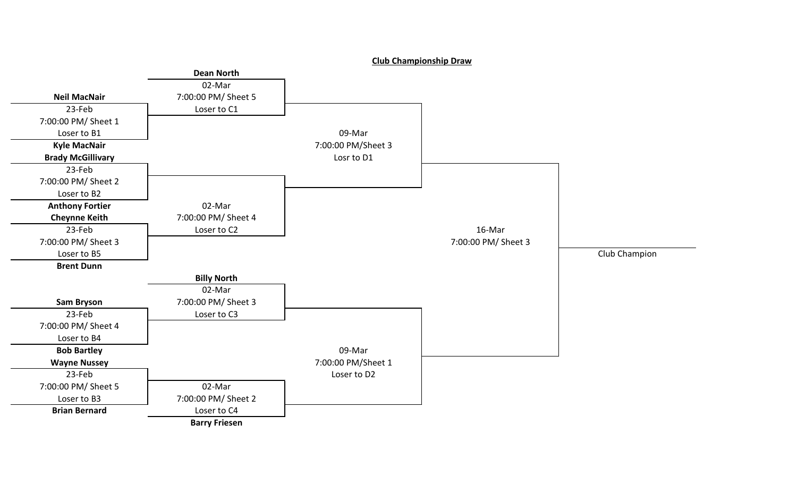